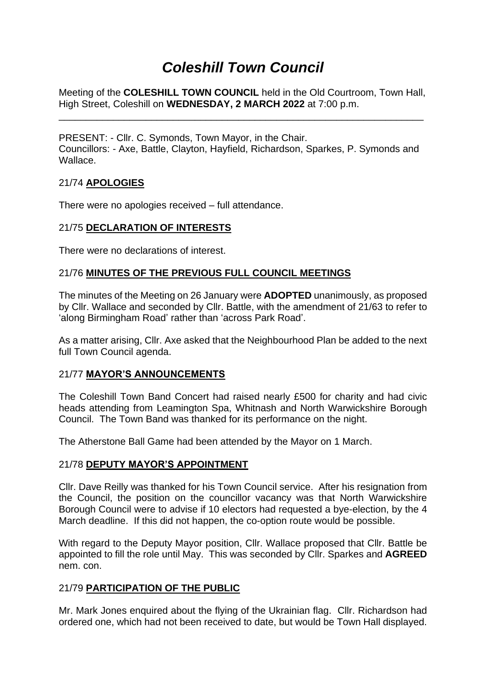# *Coleshill Town Council*

Meeting of the **COLESHILL TOWN COUNCIL** held in the Old Courtroom, Town Hall, High Street, Coleshill on **WEDNESDAY, 2 MARCH 2022** at 7:00 p.m.

\_\_\_\_\_\_\_\_\_\_\_\_\_\_\_\_\_\_\_\_\_\_\_\_\_\_\_\_\_\_\_\_\_\_\_\_\_\_\_\_\_\_\_\_\_\_\_\_\_\_\_\_\_\_\_\_\_\_\_\_\_\_\_\_\_\_\_

PRESENT: - Cllr. C. Symonds, Town Mayor, in the Chair. Councillors: - Axe, Battle, Clayton, Hayfield, Richardson, Sparkes, P. Symonds and Wallace.

### 21/74 **APOLOGIES**

There were no apologies received – full attendance.

### 21/75 **DECLARATION OF INTERESTS**

There were no declarations of interest.

### 21/76 **MINUTES OF THE PREVIOUS FULL COUNCIL MEETINGS**

The minutes of the Meeting on 26 January were **ADOPTED** unanimously, as proposed by Cllr. Wallace and seconded by Cllr. Battle, with the amendment of 21/63 to refer to 'along Birmingham Road' rather than 'across Park Road'.

As a matter arising, Cllr. Axe asked that the Neighbourhood Plan be added to the next full Town Council agenda.

### 21/77 **MAYOR'S ANNOUNCEMENTS**

The Coleshill Town Band Concert had raised nearly £500 for charity and had civic heads attending from Leamington Spa, Whitnash and North Warwickshire Borough Council. The Town Band was thanked for its performance on the night.

The Atherstone Ball Game had been attended by the Mayor on 1 March.

#### 21/78 **DEPUTY MAYOR'S APPOINTMENT**

Cllr. Dave Reilly was thanked for his Town Council service. After his resignation from the Council, the position on the councillor vacancy was that North Warwickshire Borough Council were to advise if 10 electors had requested a bye-election, by the 4 March deadline. If this did not happen, the co-option route would be possible.

With regard to the Deputy Mayor position, Cllr. Wallace proposed that Cllr. Battle be appointed to fill the role until May. This was seconded by Cllr. Sparkes and **AGREED** nem. con.

### 21/79 **PARTICIPATION OF THE PUBLIC**

Mr. Mark Jones enquired about the flying of the Ukrainian flag. Cllr. Richardson had ordered one, which had not been received to date, but would be Town Hall displayed.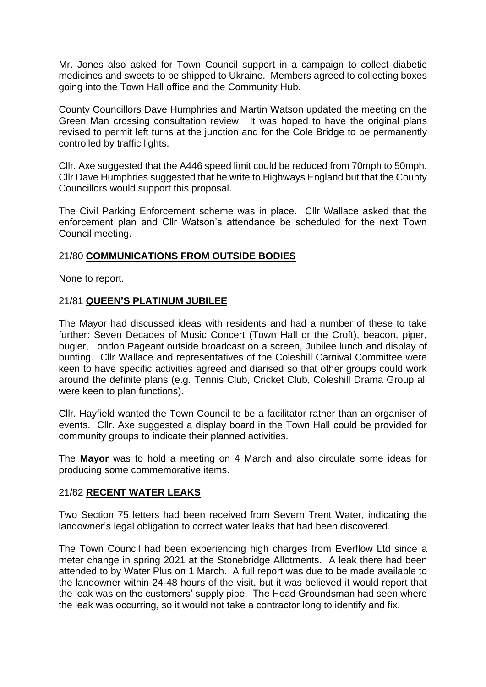Mr. Jones also asked for Town Council support in a campaign to collect diabetic medicines and sweets to be shipped to Ukraine. Members agreed to collecting boxes going into the Town Hall office and the Community Hub.

County Councillors Dave Humphries and Martin Watson updated the meeting on the Green Man crossing consultation review. It was hoped to have the original plans revised to permit left turns at the junction and for the Cole Bridge to be permanently controlled by traffic lights.

Cllr. Axe suggested that the A446 speed limit could be reduced from 70mph to 50mph. Cllr Dave Humphries suggested that he write to Highways England but that the County Councillors would support this proposal.

The Civil Parking Enforcement scheme was in place. Cllr Wallace asked that the enforcement plan and Cllr Watson's attendance be scheduled for the next Town Council meeting.

### 21/80 **COMMUNICATIONS FROM OUTSIDE BODIES**

None to report.

### 21/81 **QUEEN'S PLATINUM JUBILEE**

The Mayor had discussed ideas with residents and had a number of these to take further: Seven Decades of Music Concert (Town Hall or the Croft), beacon, piper, bugler, London Pageant outside broadcast on a screen, Jubilee lunch and display of bunting. Cllr Wallace and representatives of the Coleshill Carnival Committee were keen to have specific activities agreed and diarised so that other groups could work around the definite plans (e.g. Tennis Club, Cricket Club, Coleshill Drama Group all were keen to plan functions).

Cllr. Hayfield wanted the Town Council to be a facilitator rather than an organiser of events. Cllr. Axe suggested a display board in the Town Hall could be provided for community groups to indicate their planned activities.

The **Mayor** was to hold a meeting on 4 March and also circulate some ideas for producing some commemorative items.

### 21/82 **RECENT WATER LEAKS**

Two Section 75 letters had been received from Severn Trent Water, indicating the landowner's legal obligation to correct water leaks that had been discovered.

The Town Council had been experiencing high charges from Everflow Ltd since a meter change in spring 2021 at the Stonebridge Allotments. A leak there had been attended to by Water Plus on 1 March. A full report was due to be made available to the landowner within 24-48 hours of the visit, but it was believed it would report that the leak was on the customers' supply pipe. The Head Groundsman had seen where the leak was occurring, so it would not take a contractor long to identify and fix.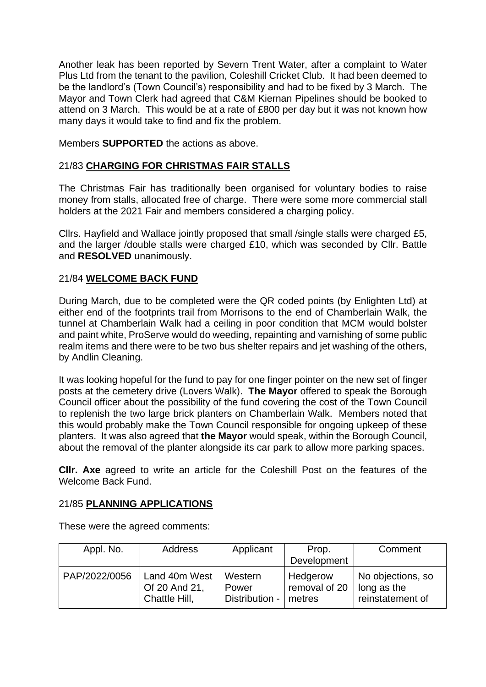Another leak has been reported by Severn Trent Water, after a complaint to Water Plus Ltd from the tenant to the pavilion, Coleshill Cricket Club. It had been deemed to be the landlord's (Town Council's) responsibility and had to be fixed by 3 March. The Mayor and Town Clerk had agreed that C&M Kiernan Pipelines should be booked to attend on 3 March. This would be at a rate of £800 per day but it was not known how many days it would take to find and fix the problem.

Members **SUPPORTED** the actions as above.

## 21/83 **CHARGING FOR CHRISTMAS FAIR STALLS**

The Christmas Fair has traditionally been organised for voluntary bodies to raise money from stalls, allocated free of charge. There were some more commercial stall holders at the 2021 Fair and members considered a charging policy.

Cllrs. Hayfield and Wallace jointly proposed that small /single stalls were charged £5, and the larger /double stalls were charged £10, which was seconded by Cllr. Battle and **RESOLVED** unanimously.

## 21/84 **WELCOME BACK FUND**

During March, due to be completed were the QR coded points (by Enlighten Ltd) at either end of the footprints trail from Morrisons to the end of Chamberlain Walk, the tunnel at Chamberlain Walk had a ceiling in poor condition that MCM would bolster and paint white, ProServe would do weeding, repainting and varnishing of some public realm items and there were to be two bus shelter repairs and jet washing of the others, by Andlin Cleaning.

It was looking hopeful for the fund to pay for one finger pointer on the new set of finger posts at the cemetery drive (Lovers Walk). **The Mayor** offered to speak the Borough Council officer about the possibility of the fund covering the cost of the Town Council to replenish the two large brick planters on Chamberlain Walk. Members noted that this would probably make the Town Council responsible for ongoing upkeep of these planters. It was also agreed that **the Mayor** would speak, within the Borough Council, about the removal of the planter alongside its car park to allow more parking spaces.

**Cllr. Axe** agreed to write an article for the Coleshill Post on the features of the Welcome Back Fund.

### 21/85 **PLANNING APPLICATIONS**

These were the agreed comments:

| Appl. No.     | Address                                         | Applicant                          | Prop.                               | Comment                                              |
|---------------|-------------------------------------------------|------------------------------------|-------------------------------------|------------------------------------------------------|
|               |                                                 |                                    | Development                         |                                                      |
| PAP/2022/0056 | Land 40m West<br>Of 20 And 21,<br>Chattle Hill, | Western<br>Power<br>Distribution - | Hedgerow<br>removal of 20<br>metres | No objections, so<br>long as the<br>reinstatement of |